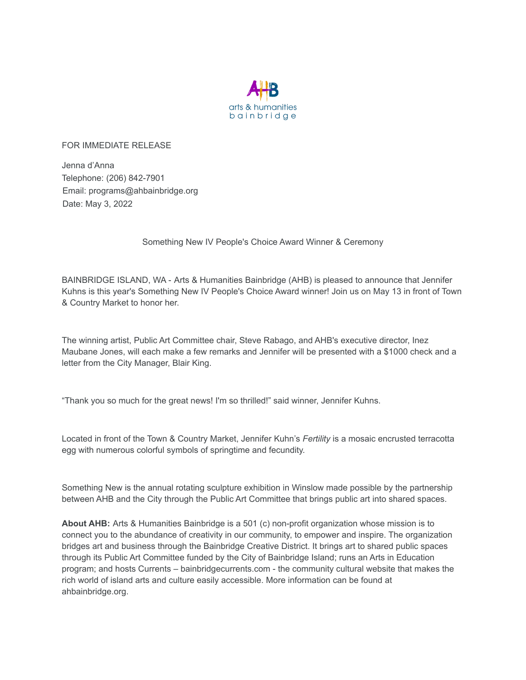

FOR IMMEDIATE RELEASE

Jenna d'Anna Telephone: (206) 842-7901 Email: programs@ahbainbridge.org Date: May 3, 2022

Something New IV People's Choice Award Winner & Ceremony

BAINBRIDGE ISLAND, WA - Arts & Humanities Bainbridge (AHB) is pleased to announce that Jennifer Kuhns is this year's Something New IV People's Choice Award winner! Join us on May 13 in front of Town & Country Market to honor her.

The winning artist, Public Art Committee chair, Steve Rabago, and AHB's executive director, Inez Maubane Jones, will each make a few remarks and Jennifer will be presented with a \$1000 check and a letter from the City Manager, Blair King.

"Thank you so much for the great news! I'm so thrilled!" said winner, Jennifer Kuhns.

Located in front of the Town & Country Market, Jennifer Kuhn's *Fertility* is a mosaic encrusted terracotta egg with numerous colorful symbols of springtime and fecundity.

Something New is the annual rotating sculpture exhibition in Winslow made possible by the partnership between AHB and the City through the Public Art Committee that brings public art into shared spaces.

**About AHB:** Arts & Humanities Bainbridge is a 501 (c) non-profit organization whose mission is to connect you to the abundance of creativity in our community, to empower and inspire. The organization bridges art and business through the Bainbridge Creative District. It brings art to shared public spaces through its Public Art Committee funded by the City of Bainbridge Island; runs an Arts in Education program; and hosts Currents – bainbridgecurrents.com - the community cultural website that makes the rich world of island arts and culture easily accessible. More information can be found at ahbainbridge.org.